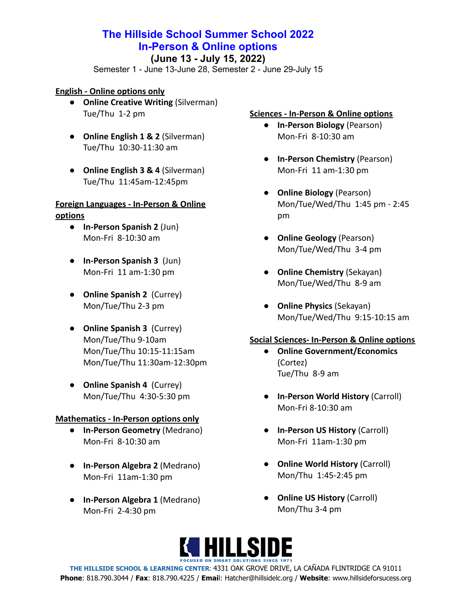# **The Hillside School Summer School 2022 In-Person & Online options**

### **(June 13 - July 15, 2022)**

Semester 1 - June 13-June 28, Semester 2 - June 29-July 15

### **English - Online options only**

- **● Online Creative Writing** (Silverman) Tue/Thu 1-2 pm
- **● Online English 1 & 2** (Silverman) Tue/Thu 10:30-11:30 am
- **● Online English 3 & 4** (Silverman) Tue/Thu 11:45am-12:45pm

### **Foreign Languages - In-Person & Online options**

- **● In-Person Spanish 2** (Jun) Mon-Fri 8-10:30 am
- **● In-Person Spanish 3** (Jun) Mon-Fri 11 am-1:30 pm
- **● Online Spanish 2** (Currey) Mon/Tue/Thu 2-3 pm
- **● Online Spanish 3** (Currey) Mon/Tue/Thu 9-10am Mon/Tue/Thu 10:15-11:15am Mon/Tue/Thu 11:30am-12:30pm
- **● Online Spanish 4** (Currey) Mon/Tue/Thu 4:30-5:30 pm

### **Mathematics - In-Person options only**

- **● In-Person Geometry** (Medrano) Mon-Fri 8-10:30 am
- **● In-Person Algebra 2** (Medrano) Mon-Fri 11am-1:30 pm
- **● In-Person Algebra 1** (Medrano) Mon-Fri 2-4:30 pm

### **Sciences - In-Person & Online options**

- **● In-Person Biology** (Pearson) Mon-Fri 8-10:30 am
- **● In-Person Chemistry** (Pearson) Mon-Fri 11 am-1:30 pm
- **● Online Biology** (Pearson) Mon/Tue/Wed/Thu 1:45 pm - 2:45 pm
- **● Online Geology** (Pearson) Mon/Tue/Wed/Thu 3-4 pm
- **● Online Chemistry** (Sekayan) Mon/Tue/Wed/Thu 8-9 am
- **● Online Physics** (Sekayan) Mon/Tue/Wed/Thu 9:15-10:15 am

### **Social Sciences- In-Person & Online options**

- **● Online Government/Economics** (Cortez) Tue/Thu 8-9 am
- **● In-Person World History** (Carroll) Mon-Fri 8-10:30 am
- **● In-Person US History** (Carroll) Mon-Fri 11am-1:30 pm
- **● Online World History** (Carroll) Mon/Thu 1:45-2:45 pm
- **● Online US History** (Carroll) Mon/Thu 3-4 pm

# **KI HILLSIDE**

**THE HILLSIDE SCHOOL & LEARNING CENTER**: 4331 OAK GROVE DRIVE, LA CAÑADA FLINTRIDGE CA 91011 **Phone**: 818.790.3044 / **Fax**: 818.790.4225 / **Emai**l: Hatcher@hillsidelc.org / **Website**: www.hillsideforsucess.org